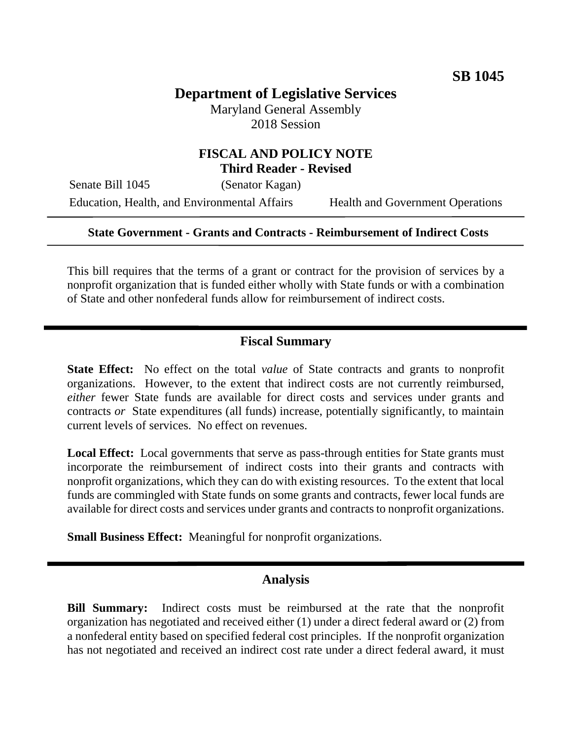# **Department of Legislative Services**

Maryland General Assembly 2018 Session

## **FISCAL AND POLICY NOTE Third Reader - Revised**

Senate Bill 1045 (Senator Kagan) Education, Health, and Environmental Affairs Health and Government Operations

#### **State Government - Grants and Contracts - Reimbursement of Indirect Costs**

This bill requires that the terms of a grant or contract for the provision of services by a nonprofit organization that is funded either wholly with State funds or with a combination of State and other nonfederal funds allow for reimbursement of indirect costs.

### **Fiscal Summary**

**State Effect:** No effect on the total *value* of State contracts and grants to nonprofit organizations. However, to the extent that indirect costs are not currently reimbursed, *either* fewer State funds are available for direct costs and services under grants and contracts *or* State expenditures (all funds) increase, potentially significantly, to maintain current levels of services. No effect on revenues.

Local Effect: Local governments that serve as pass-through entities for State grants must incorporate the reimbursement of indirect costs into their grants and contracts with nonprofit organizations, which they can do with existing resources. To the extent that local funds are commingled with State funds on some grants and contracts, fewer local funds are available for direct costs and services under grants and contracts to nonprofit organizations.

**Small Business Effect:** Meaningful for nonprofit organizations.

#### **Analysis**

**Bill Summary:** Indirect costs must be reimbursed at the rate that the nonprofit organization has negotiated and received either (1) under a direct federal award or (2) from a nonfederal entity based on specified federal cost principles. If the nonprofit organization has not negotiated and received an indirect cost rate under a direct federal award, it must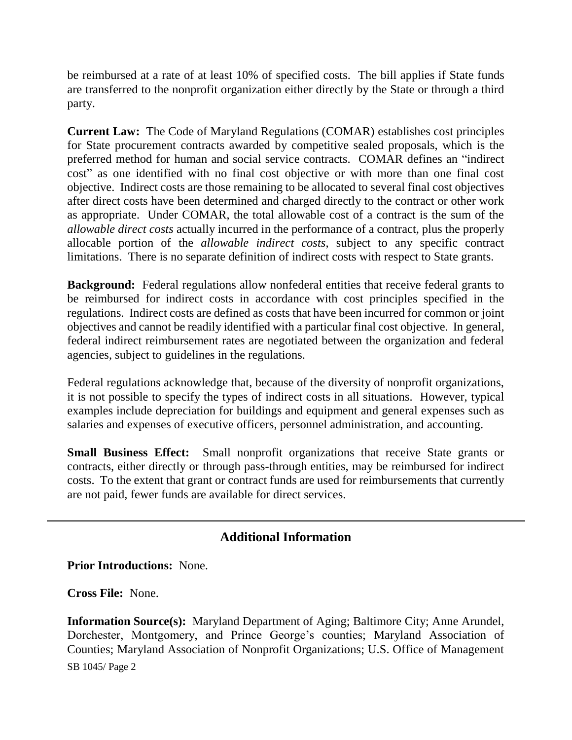be reimbursed at a rate of at least 10% of specified costs. The bill applies if State funds are transferred to the nonprofit organization either directly by the State or through a third party.

**Current Law:** The Code of Maryland Regulations (COMAR) establishes cost principles for State procurement contracts awarded by competitive sealed proposals, which is the preferred method for human and social service contracts. COMAR defines an "indirect cost" as one identified with no final cost objective or with more than one final cost objective. Indirect costs are those remaining to be allocated to several final cost objectives after direct costs have been determined and charged directly to the contract or other work as appropriate. Under COMAR, the total allowable cost of a contract is the sum of the *allowable direct costs* actually incurred in the performance of a contract, plus the properly allocable portion of the *allowable indirect costs*, subject to any specific contract limitations. There is no separate definition of indirect costs with respect to State grants.

**Background:** Federal regulations allow nonfederal entities that receive federal grants to be reimbursed for indirect costs in accordance with cost principles specified in the regulations. Indirect costs are defined as costs that have been incurred for common or joint objectives and cannot be readily identified with a particular final cost objective. In general, federal indirect reimbursement rates are negotiated between the organization and federal agencies, subject to guidelines in the regulations.

Federal regulations acknowledge that, because of the diversity of nonprofit organizations, it is not possible to specify the types of indirect costs in all situations. However, typical examples include depreciation for buildings and equipment and general expenses such as salaries and expenses of executive officers, personnel administration, and accounting.

**Small Business Effect:** Small nonprofit organizations that receive State grants or contracts, either directly or through pass-through entities, may be reimbursed for indirect costs. To the extent that grant or contract funds are used for reimbursements that currently are not paid, fewer funds are available for direct services.

## **Additional Information**

**Prior Introductions:** None.

**Cross File:** None.

SB 1045/ Page 2 **Information Source(s):** Maryland Department of Aging; Baltimore City; Anne Arundel, Dorchester, Montgomery, and Prince George's counties; Maryland Association of Counties; Maryland Association of Nonprofit Organizations; U.S. Office of Management